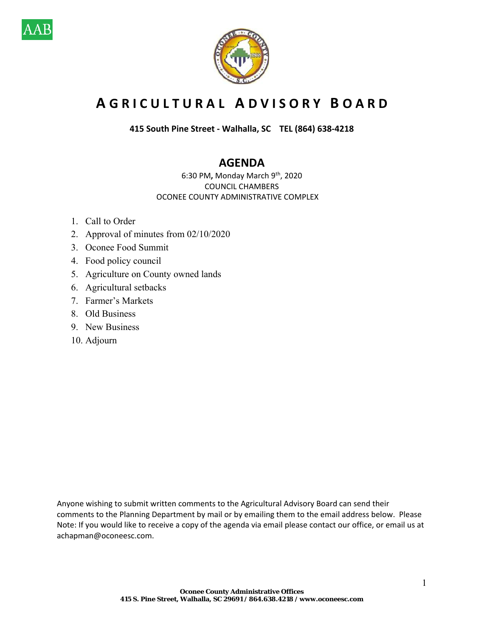



# **A G R I C U L T U R A L A D V I S O R Y B O A R D**

**415 South Pine Street ‐ Walhalla, SC TEL (864) 638‐4218** 

## **AGENDA**

6:30 PM**,** Monday March 9th, 2020 COUNCIL CHAMBERS OCONEE COUNTY ADMINISTRATIVE COMPLEX

- 1. Call to Order
- 2. Approval of minutes from 02/10/2020
- 3. Oconee Food Summit
- 4. Food policy council
- 5. Agriculture on County owned lands
- 6. Agricultural setbacks
- 7. Farmer's Markets
- 8. Old Business
- 9. New Business
- 10. Adjourn

Anyone wishing to submit written comments to the Agricultural Advisory Board can send their comments to the Planning Department by mail or by emailing them to the email address below. Please Note: If you would like to receive a copy of the agenda via email please contact our office, or email us at achapman@oconeesc.com.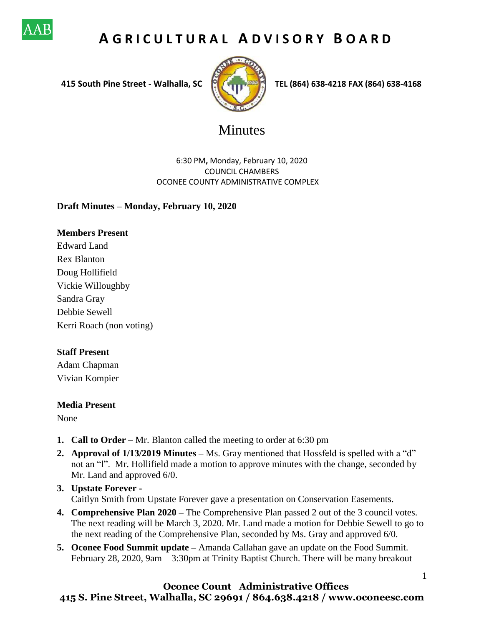

# **A G R I C U L T U R A L A D V I S O R Y B O A R D**



 **415 South Pine Street - Walhalla, SC TEL (864) 638-4218 FAX (864) 638-4168**

1

# Minutes

6:30 PM**,** Monday, February 10, 2020 COUNCIL CHAMBERS OCONEE COUNTY ADMINISTRATIVE COMPLEX

### **Draft Minutes – Monday, February 10, 2020**

### **Members Present**

Edward Land Rex Blanton Doug Hollifield Vickie Willoughby Sandra Gray Debbie Sewell Kerri Roach (non voting)

#### **Staff Present**

Adam Chapman Vivian Kompier

#### **Media Present**

None

- **1. Call to Order** Mr. Blanton called the meeting to order at 6:30 pm
- **2. Approval of 1/13/2019 Minutes –** Ms. Gray mentioned that Hossfeld is spelled with a "d" not an "l". Mr. Hollifield made a motion to approve minutes with the change, seconded by Mr. Land and approved 6/0.
- **3. Upstate Forever -** Caitlyn Smith from Upstate Forever gave a presentation on Conservation Easements.
- **4. Comprehensive Plan 2020 –** The Comprehensive Plan passed 2 out of the 3 council votes. The next reading will be March 3, 2020. Mr. Land made a motion for Debbie Sewell to go to the next reading of the Comprehensive Plan, seconded by Ms. Gray and approved 6/0.
- **5. Oconee Food Summit update –** Amanda Callahan gave an update on the Food Summit. February 28, 2020, 9am – 3:30pm at Trinity Baptist Church. There will be many breakout

### **Oconee Count Administrative Offices 415 S. Pine Street, Walhalla, SC 29691 / 864.638.4218 / www.oconeesc.com**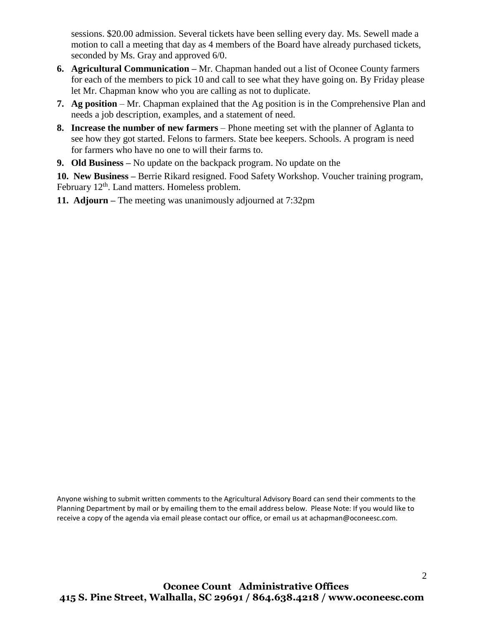sessions. \$20.00 admission. Several tickets have been selling every day. Ms. Sewell made a motion to call a meeting that day as 4 members of the Board have already purchased tickets, seconded by Ms. Gray and approved 6/0.

- **6. Agricultural Communication Mr. Chapman handed out a list of Oconee County farmers** for each of the members to pick 10 and call to see what they have going on. By Friday please let Mr. Chapman know who you are calling as not to duplicate.
- **7. Ag position** Mr. Chapman explained that the Ag position is in the Comprehensive Plan and needs a job description, examples, and a statement of need.
- **8. Increase the number of new farmers** Phone meeting set with the planner of Aglanta to see how they got started. Felons to farmers. State bee keepers. Schools. A program is need for farmers who have no one to will their farms to.
- **9. Old Business –** No update on the backpack program. No update on the

**10. New Business –** Berrie Rikard resigned. Food Safety Workshop. Voucher training program, February 12<sup>th</sup>. Land matters. Homeless problem.

**11. Adjourn –** The meeting was unanimously adjourned at 7:32pm

Anyone wishing to submit written comments to the Agricultural Advisory Board can send their comments to the Planning Department by mail or by emailing them to the email address below. Please Note: If you would like to receive a copy of the agenda via email please contact our office, or email us at achapman@oconeesc.com.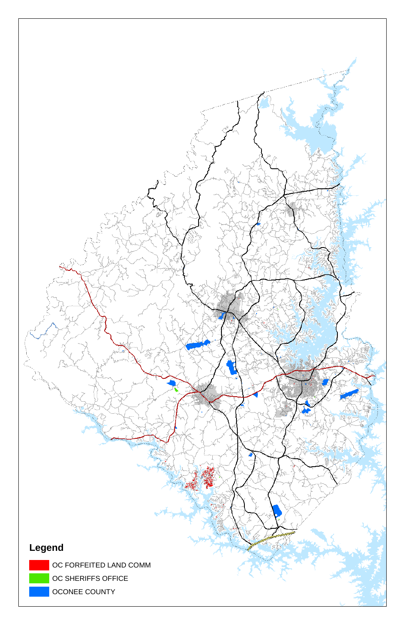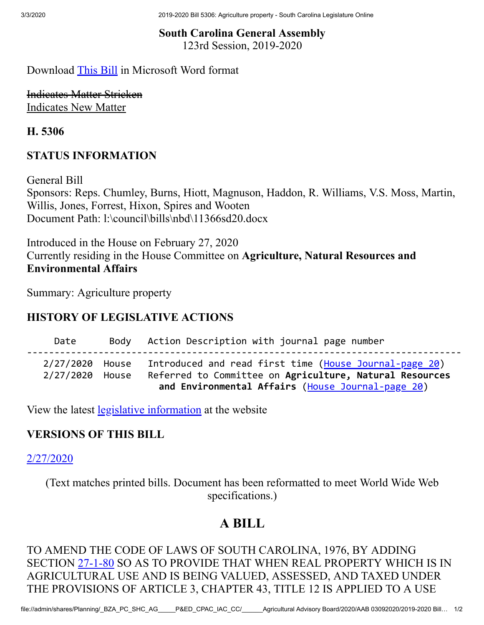3/3/2020 2019-2020 Bill 5306: Agriculture property - South Carolina Legislature Online

### **South Carolina General Assembly** 123rd Session, 2019-2020

## Download [This Bill](https://www.scstatehouse.gov/sess123_2019-2020/bills/5306.docx) in Microsoft Word format

Indicates Matter Stricken Indicates New Matter

**H. 5306**

## **STATUS INFORMATION**

General Bill Sponsors: Reps. Chumley, Burns, Hiott, Magnuson, Haddon, R. Williams, V.S. Moss, Martin, Willis, Jones, Forrest, Hixon, Spires and Wooten Document Path: l:\council\bills\nbd\11366sd20.docx

Introduced in the House on February 27, 2020 Currently residing in the House Committee on **Agriculture, Natural Resources and Environmental Affairs**

Summary: Agriculture property

## **HISTORY OF LEGISLATIVE ACTIONS**

 Date Body Action Description with journal page number ------------------------------------------------------------------------------- 2/27/2020 House Introduced and read first time ([House Journal-page 20](https://www.scstatehouse.gov/sess123_2019-2020/hj20/20200227.htm#p20)) 2/27/2020 House Referred to Committee on **Agriculture, Natural Resources and Environmental Affairs** [\(House Journal-page 20](https://www.scstatehouse.gov/sess123_2019-2020/hj20/20200227.htm#p20))

View the latest [legislative information](https://www.scstatehouse.gov/billsearch.php?billnumbers=5306&session=123&summary=B) at the website

## **VERSIONS OF THIS BILL**

[2/27/2020](https://www.scstatehouse.gov/sess123_2019-2020/prever/5306_20200227.htm)

(Text matches printed bills. Document has been reformatted to meet World Wide Web specifications.)

## **A BILL**

TO AMEND THE CODE OF LAWS OF SOUTH CAROLINA, 1976, BY ADDING SECTION [27-1-80](https://www.scstatehouse.gov/code/t27c001.php#27-1-80) SO AS TO PROVIDE THAT WHEN REAL PROPERTY WHICH IS IN AGRICULTURAL USE AND IS BEING VALUED, ASSESSED, AND TAXED UNDER THE PROVISIONS OF ARTICLE 3, CHAPTER 43, TITLE 12 IS APPLIED TO A USE